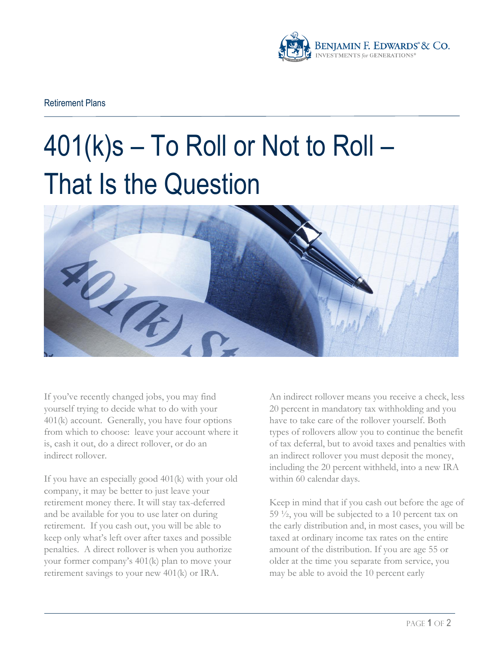

Retirement Plans

## 401(k)s – To Roll or Not to Roll – That Is the Question



If you've recently changed jobs, you may find yourself trying to decide what to do with your 401(k) account. Generally, you have four options from which to choose: leave your account where it is, cash it out, do a direct rollover, or do an indirect rollover.

If you have an especially good 401(k) with your old company, it may be better to just leave your retirement money there. It will stay tax-deferred and be available for you to use later on during retirement. If you cash out, you will be able to keep only what's left over after taxes and possible penalties. A direct rollover is when you authorize your former company's 401(k) plan to move your retirement savings to your new 401(k) or IRA.

An indirect rollover means you receive a check, less 20 percent in mandatory tax withholding and you have to take care of the rollover yourself. Both types of rollovers allow you to continue the benefit of tax deferral, but to avoid taxes and penalties with an indirect rollover you must deposit the money, including the 20 percent withheld, into a new IRA within 60 calendar days.

Keep in mind that if you cash out before the age of 59 ½, you will be subjected to a 10 percent tax on the early distribution and, in most cases, you will be taxed at ordinary income tax rates on the entire amount of the distribution. If you are age 55 or older at the time you separate from service, you may be able to avoid the 10 percent early